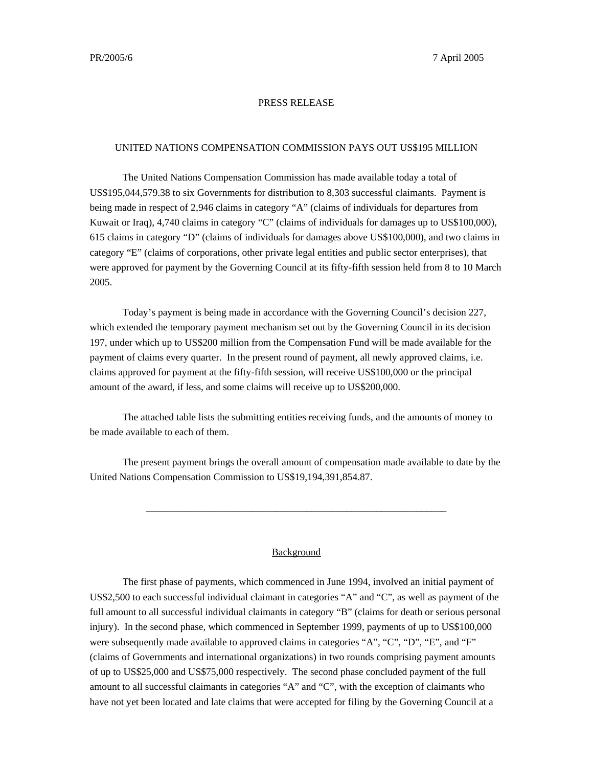## PRESS RELEASE

## UNITED NATIONS COMPENSATION COMMISSION PAYS OUT US\$195 MILLION

The United Nations Compensation Commission has made available today a total of US\$195,044,579.38 to six Governments for distribution to 8,303 successful claimants. Payment is being made in respect of 2,946 claims in category "A" (claims of individuals for departures from Kuwait or Iraq), 4,740 claims in category "C" (claims of individuals for damages up to US\$100,000), 615 claims in category "D" (claims of individuals for damages above US\$100,000), and two claims in category "E" (claims of corporations, other private legal entities and public sector enterprises), that were approved for payment by the Governing Council at its fifty-fifth session held from 8 to 10 March 2005.

Today's payment is being made in accordance with the Governing Council's decision 227, which extended the temporary payment mechanism set out by the Governing Council in its decision 197, under which up to US\$200 million from the Compensation Fund will be made available for the payment of claims every quarter. In the present round of payment, all newly approved claims, i.e. claims approved for payment at the fifty-fifth session, will receive US\$100,000 or the principal amount of the award, if less, and some claims will receive up to US\$200,000.

The attached table lists the submitting entities receiving funds, and the amounts of money to be made available to each of them.

The present payment brings the overall amount of compensation made available to date by the United Nations Compensation Commission to US\$19,194,391,854.87.

\_\_\_\_\_\_\_\_\_\_\_\_\_\_\_\_\_\_\_\_\_\_\_\_\_\_\_\_\_\_\_\_\_\_\_\_\_\_\_\_\_\_\_\_\_\_\_\_\_\_\_\_\_\_\_\_\_\_\_\_

## Background

The first phase of payments, which commenced in June 1994, involved an initial payment of US\$2,500 to each successful individual claimant in categories "A" and "C", as well as payment of the full amount to all successful individual claimants in category "B" (claims for death or serious personal injury). In the second phase, which commenced in September 1999, payments of up to US\$100,000 were subsequently made available to approved claims in categories "A", "C", "D", "E", and "F" (claims of Governments and international organizations) in two rounds comprising payment amounts of up to US\$25,000 and US\$75,000 respectively. The second phase concluded payment of the full amount to all successful claimants in categories "A" and "C", with the exception of claimants who have not yet been located and late claims that were accepted for filing by the Governing Council at a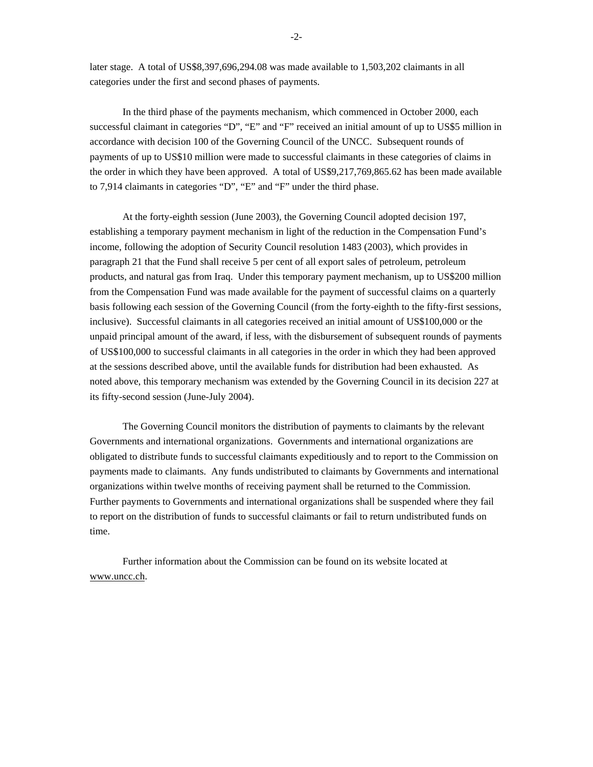later stage. A total of US\$8,397,696,294.08 was made available to 1,503,202 claimants in all categories under the first and second phases of payments.

In the third phase of the payments mechanism, which commenced in October 2000, each successful claimant in categories "D", "E" and "F" received an initial amount of up to US\$5 million in accordance with decision 100 of the Governing Council of the UNCC. Subsequent rounds of payments of up to US\$10 million were made to successful claimants in these categories of claims in the order in which they have been approved. A total of US\$9,217,769,865.62 has been made available to 7,914 claimants in categories "D", "E" and "F" under the third phase.

At the forty-eighth session (June 2003), the Governing Council adopted decision 197, establishing a temporary payment mechanism in light of the reduction in the Compensation Fund's income, following the adoption of Security Council resolution 1483 (2003), which provides in paragraph 21 that the Fund shall receive 5 per cent of all export sales of petroleum, petroleum products, and natural gas from Iraq. Under this temporary payment mechanism, up to US\$200 million from the Compensation Fund was made available for the payment of successful claims on a quarterly basis following each session of the Governing Council (from the forty-eighth to the fifty-first sessions, inclusive). Successful claimants in all categories received an initial amount of US\$100,000 or the unpaid principal amount of the award, if less, with the disbursement of subsequent rounds of payments of US\$100,000 to successful claimants in all categories in the order in which they had been approved at the sessions described above, until the available funds for distribution had been exhausted. As noted above, this temporary mechanism was extended by the Governing Council in its decision 227 at its fifty-second session (June-July 2004).

The Governing Council monitors the distribution of payments to claimants by the relevant Governments and international organizations. Governments and international organizations are obligated to distribute funds to successful claimants expeditiously and to report to the Commission on payments made to claimants. Any funds undistributed to claimants by Governments and international organizations within twelve months of receiving payment shall be returned to the Commission. Further payments to Governments and international organizations shall be suspended where they fail to report on the distribution of funds to successful claimants or fail to return undistributed funds on time.

Further information about the Commission can be found on its website located at www.uncc.ch.